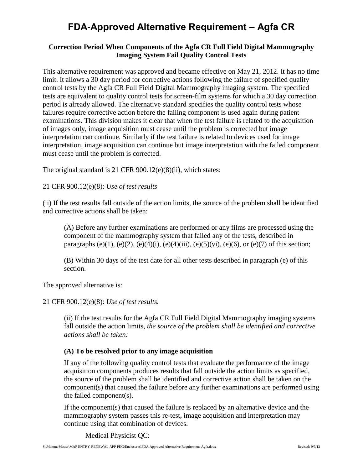# **FDA-Approved Alternative Requirement – Agfa CR**

### **Correction Period When Components of the Agfa CR Full Field Digital Mammography Imaging System Fail Quality Control Tests**

This alternative requirement was approved and became effective on May 21, 2012. It has no time limit. It allows a 30 day period for corrective actions following the failure of specified quality control tests by the Agfa CR Full Field Digital Mammography imaging system. The specified tests are equivalent to quality control tests for screen-film systems for which a 30 day correction period is already allowed. The alternative standard specifies the quality control tests whose failures require corrective action before the failing component is used again during patient examinations. This division makes it clear that when the test failure is related to the acquisition of images only, image acquisition must cease until the problem is corrected but image interpretation can continue. Similarly if the test failure is related to devices used for image interpretation, image acquisition can continue but image interpretation with the failed component must cease until the problem is corrected.

The original standard is 21 CFR 900.12(e)(8)(ii), which states:

21 CFR 900.12(e)(8): *Use of test results*

(ii) If the test results fall outside of the action limits, the source of the problem shall be identified and corrective actions shall be taken:

(A) Before any further examinations are performed or any films are processed using the component of the mammography system that failed any of the tests, described in paragraphs (e)(1), (e)(2), (e)(4)(i), (e)(4)(iii), (e)(5)(vi), (e)(6), or (e)(7) of this section;

(B) Within 30 days of the test date for all other tests described in paragraph (e) of this section.

The approved alternative is:

21 CFR 900.12(e)(8): *Use of test results.*

(ii) If the test results for the Agfa CR Full Field Digital Mammography imaging systems fall outside the action limits, *the source of the problem shall be identified and corrective actions shall be taken:*

#### **(A) To be resolved prior to any image acquisition**

If any of the following quality control tests that evaluate the performance of the image acquisition components produces results that fall outside the action limits as specified, the source of the problem shall be identified and corrective action shall be taken on the component(s) that caused the failure before any further examinations are performed using the failed component(s).

If the component(s) that caused the failure is replaced by an alternative device and the mammography system passes this re-test, image acquisition and interpretation may continue using that combination of devices.

Medical Physicist QC: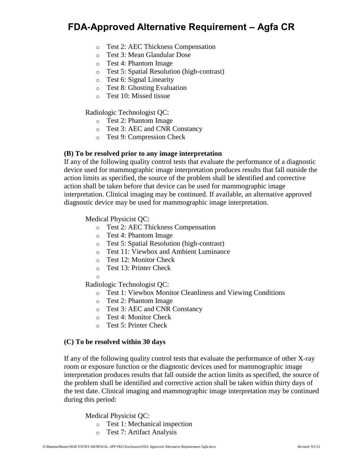## **FDA-Approved Alternative Requirement – Agfa CR**

- o Test 2: AEC Thickness Compensation
- o Test 3: Mean Glandular Dose
- o Test 4: Phantom Image
- o Test 5: Spatial Resolution (high-contrast)
- o Test 6: Signal Linearity
- o Test 8: Ghosting Evaluation
- o Test 10: Missed tissue

Radiologic Technologist QC:

- o Test 2: Phantom Image
- o Test 3: AEC and CNR Constancy
- o Test 9: Compression Check

#### **(B) To be resolved prior to any image interpretation**

If any of the following quality control tests that evaluate the performance of a diagnostic device used for mammographic image interpretation produces results that fall outside the action limits as specified, the source of the problem shall be identified and corrective action shall be taken before that device can be used for mammographic image interpretation. Clinical imaging may be continued. If available, an alternative approved diagnostic device may be used for mammographic image interpretation.

Medical Physicist QC:

- o Test 2: AEC Thickness Compensation
- o Test 4: Phantom Image
- o Test 5: Spatial Resolution (high-contrast)
- o Test 11: Viewbox and Ambient Luminance
- o Test 12: Monitor Check
- o Test 13: Printer Check
- o

Radiologic Technologist QC:

- o Test 1: Viewbox Monitor Cleanliness and Viewing Conditions
- o Test 2: Phantom Image
- o Test 3: AEC and CNR Constancy
- o Test 4: Monitor Check
- o Test 5: Printer Check

#### **(C) To be resolved within 30 days**

If any of the following quality control tests that evaluate the performance of other X-ray room or exposure function or the diagnostic devices used for mammographic image interpretation produces results that fall outside the action limits as specified, the source of the problem shall be identified and corrective action shall be taken within thirty days of the test date. Clinical imaging and mammographic image interpretation may be continued during this period:

Medical Physicist QC:

- o Test 1: Mechanical inspection
- o Test 7: Artifact Analysis